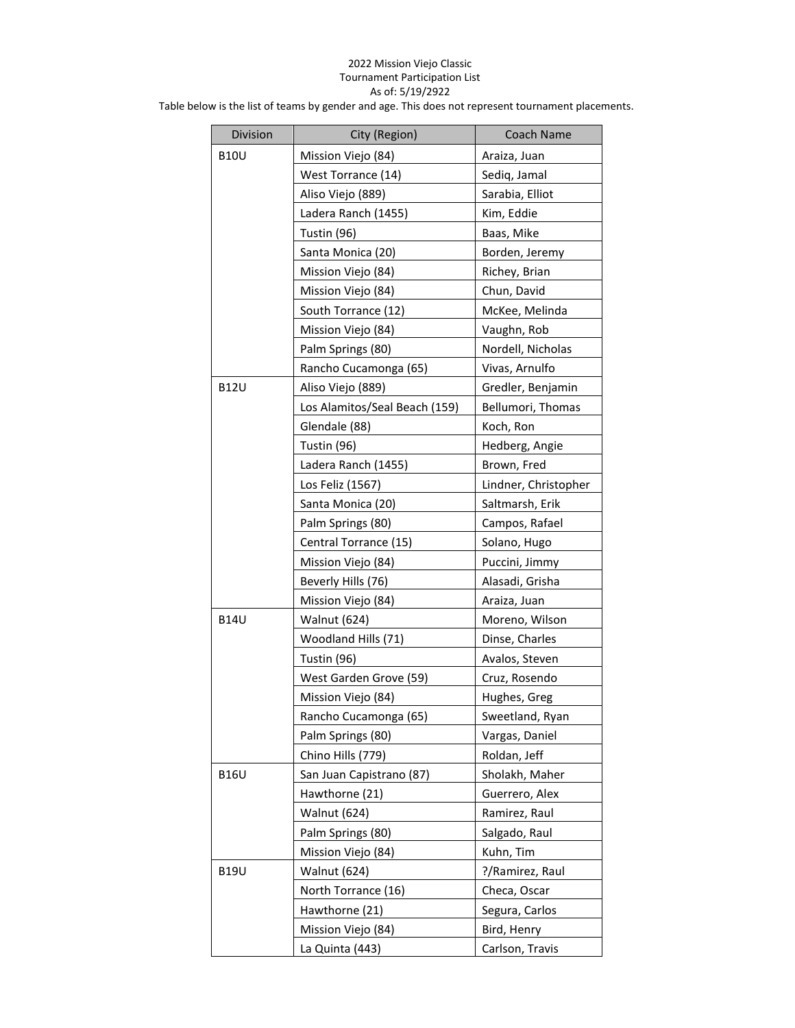## 2022 Mission Viejo Classic Tournament Participation List As of: 5/19/2922

Table below is the list of teams by gender and age. This does not represent tournament placements.

| Division    | City (Region)                 | Coach Name           |
|-------------|-------------------------------|----------------------|
| <b>B10U</b> | Mission Viejo (84)            | Araiza, Juan         |
|             | West Torrance (14)            | Sediq, Jamal         |
|             | Aliso Viejo (889)             | Sarabia, Elliot      |
|             | Ladera Ranch (1455)           | Kim, Eddie           |
|             | Tustin (96)                   | Baas, Mike           |
|             | Santa Monica (20)             | Borden, Jeremy       |
|             | Mission Viejo (84)            | Richey, Brian        |
|             | Mission Viejo (84)            | Chun, David          |
|             | South Torrance (12)           | McKee, Melinda       |
|             | Mission Viejo (84)            | Vaughn, Rob          |
|             | Palm Springs (80)             | Nordell, Nicholas    |
|             | Rancho Cucamonga (65)         | Vivas, Arnulfo       |
| <b>B12U</b> | Aliso Viejo (889)             | Gredler, Benjamin    |
|             | Los Alamitos/Seal Beach (159) | Bellumori, Thomas    |
|             | Glendale (88)                 | Koch, Ron            |
|             | Tustin (96)                   | Hedberg, Angie       |
|             | Ladera Ranch (1455)           | Brown, Fred          |
|             | Los Feliz (1567)              | Lindner, Christopher |
|             | Santa Monica (20)             | Saltmarsh, Erik      |
|             | Palm Springs (80)             | Campos, Rafael       |
|             | Central Torrance (15)         | Solano, Hugo         |
|             | Mission Viejo (84)            | Puccini, Jimmy       |
|             | Beverly Hills (76)            | Alasadi, Grisha      |
|             | Mission Viejo (84)            | Araiza, Juan         |
| <b>B14U</b> | Walnut (624)                  | Moreno, Wilson       |
|             | Woodland Hills (71)           | Dinse, Charles       |
|             | Tustin (96)                   | Avalos, Steven       |
|             | West Garden Grove (59)        | Cruz, Rosendo        |
|             | Mission Viejo (84)            | Hughes, Greg         |
|             | Rancho Cucamonga (65)         | Sweetland, Ryan      |
|             | Palm Springs (80)             | Vargas, Daniel       |
|             | Chino Hills (779)             | Roldan, Jeff         |
| <b>B16U</b> | San Juan Capistrano (87)      | Sholakh, Maher       |
|             | Hawthorne (21)                | Guerrero, Alex       |
|             | <b>Walnut (624)</b>           | Ramirez, Raul        |
|             | Palm Springs (80)             | Salgado, Raul        |
|             | Mission Viejo (84)            | Kuhn, Tim            |
| <b>B19U</b> | <b>Walnut (624)</b>           | ?/Ramirez, Raul      |
|             | North Torrance (16)           | Checa, Oscar         |
|             | Hawthorne (21)                | Segura, Carlos       |
|             | Mission Viejo (84)            | Bird, Henry          |
|             | La Quinta (443)               | Carlson, Travis      |